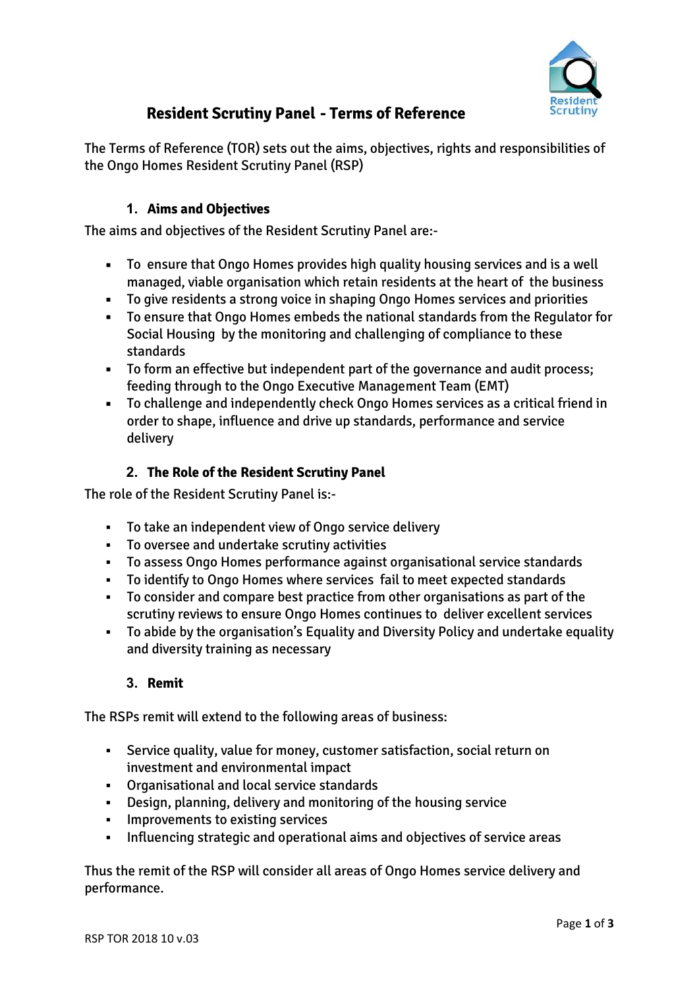

# **Resident Scrutiny Panel - Terms of Reference**

The Terms of Reference (TOR) sets out the aims, objectives, rights and responsibilities of the Ongo Homes Resident Scrutiny Panel (RSP)

## **1. Aims and Objectives**

The aims and objectives of the Resident Scrutiny Panel are:-

- To ensure that Ongo Homes provides high quality housing services and is a well managed, viable organisation which retain residents at the heart of the business
- To give residents a strong voice in shaping Ongo Homes services and priorities
- To ensure that Ongo Homes embeds the national standards from the Regulator for Social Housing by the monitoring and challenging of compliance to these standards
- To form an effective but independent part of the governance and audit process; feeding through to the Ongo Executive Management Team (EMT)
- To challenge and independently check Ongo Homes services as a critical friend in order to shape, influence and drive up standards, performance and service delivery

## **2. The Role of the Resident Scrutiny Panel**

The role of the Resident Scrutiny Panel is:-

- To take an independent view of Ongo service delivery
- To oversee and undertake scrutiny activities
- To assess Ongo Homes performance against organisational service standards
- To identify to Ongo Homes where services fail to meet expected standards
- To consider and compare best practice from other organisations as part of the scrutiny reviews to ensure Ongo Homes continues to deliver excellent services
- To abide by the organisation's Equality and Diversity Policy and undertake equality and diversity training as necessary

## **3. Remit**

The RSPs remit will extend to the following areas of business:

- Service quality, value for money, customer satisfaction, social return on investment and environmental impact
- Organisational and local service standards
- Design, planning, delivery and monitoring of the housing service
- **·** Improvements to existing services
- Influencing strategic and operational aims and objectives of service areas

Thus the remit of the RSP will consider all areas of Ongo Homes service delivery and performance.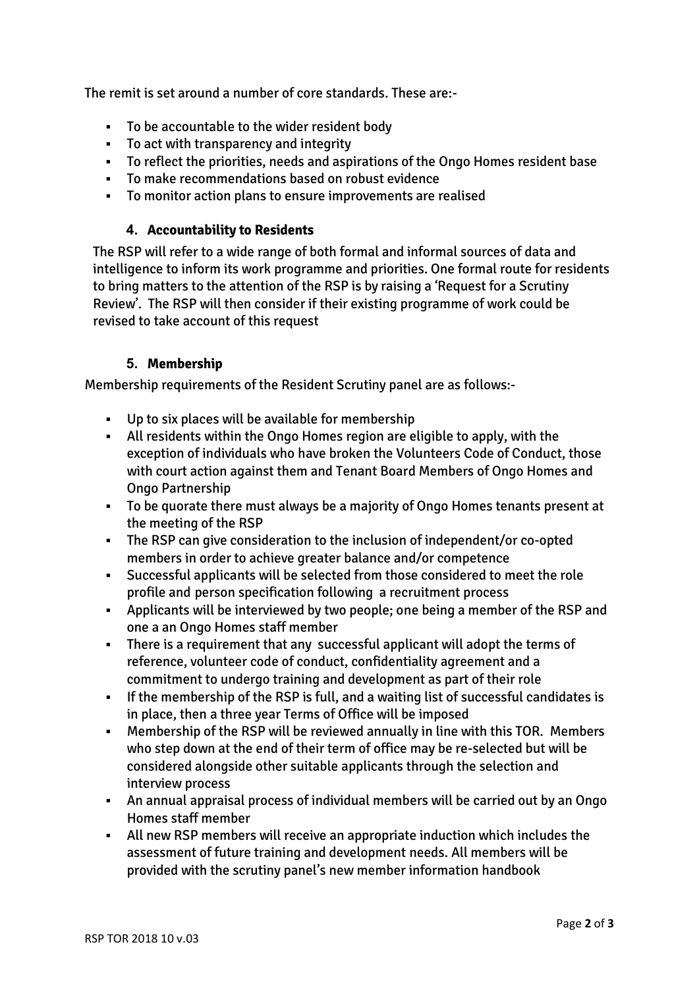The remit is set around a number of core standards. These are:-

- To be accountable to the wider resident body
- To act with transparency and integrity
- To reflect the priorities, needs and aspirations of the Ongo Homes resident base
- To make recommendations based on robust evidence
- To monitor action plans to ensure improvements are realised

#### **4. Accountability to Residents**

The RSP will refer to a wide range of both formal and informal sources of data and intelligence to inform its work programme and priorities. One formal route for residents to bring matters to the attention of the RSP is by raising a 'Request for a Scrutiny Review'. The RSP will then consider if their existing programme of work could be revised to take account of this request

### **5. Membership**

Membership requirements of the Resident Scrutiny panel are as follows:-

- Up to six places will be available for membership
- All residents within the Ongo Homes region are eligible to apply, with the exception of individuals who have broken the Volunteers Code of Conduct, those with court action against them and Tenant Board Members of Ongo Homes and Ongo Partnership
- To be quorate there must always be a majority of Ongo Homes tenants present at the meeting of the RSP
- The RSP can give consideration to the inclusion of independent/or co-opted members in order to achieve greater balance and/or competence
- Successful applicants will be selected from those considered to meet the role profile and person specification following a recruitment process
- Applicants will be interviewed by two people; one being a member of the RSP and one a an Ongo Homes staff member
- There is a requirement that any successful applicant will adopt the terms of reference, volunteer code of conduct, confidentiality agreement and a commitment to undergo training and development as part of their role
- **•** If the membership of the RSP is full, and a waiting list of successful candidates is in place, then a three year Terms of Office will be imposed
- Membership of the RSP will be reviewed annually in line with this TOR. Members who step down at the end of their term of office may be re-selected but will be considered alongside other suitable applicants through the selection and interview process
- An annual appraisal process of individual members will be carried out by an Ongo Homes staff member
- All new RSP members will receive an appropriate induction which includes the assessment of future training and development needs. All members will be provided with the scrutiny panel's new member information handbook